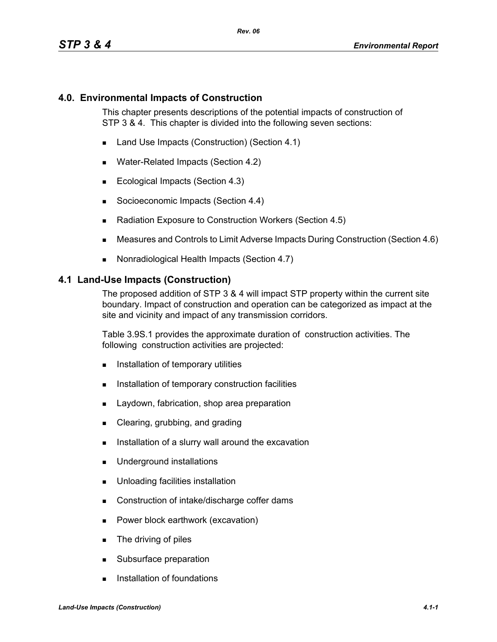### **4.0. Environmental Impacts of Construction**

This chapter presents descriptions of the potential impacts of construction of STP 3 & 4. This chapter is divided into the following seven sections:

- Land Use Impacts (Construction) (Section 4.1)
- Water-Related Impacts (Section 4.2)
- Ecological Impacts (Section 4.3)
- Socioeconomic Impacts (Section 4.4)
- Radiation Exposure to Construction Workers (Section 4.5)
- Measures and Controls to Limit Adverse Impacts During Construction (Section 4.6)
- Nonradiological Health Impacts (Section 4.7)

#### **4.1 Land-Use Impacts (Construction)**

The proposed addition of STP 3 & 4 will impact STP property within the current site boundary. Impact of construction and operation can be categorized as impact at the site and vicinity and impact of any transmission corridors.

Table 3.9S.1 provides the approximate duration of construction activities. The following construction activities are projected:

- **Installation of temporary utilities**
- **Installation of temporary construction facilities**
- **Laydown, fabrication, shop area preparation**
- Clearing, grubbing, and grading
- Installation of a slurry wall around the excavation
- **Underground installations**
- **Unloading facilities installation**
- Construction of intake/discharge coffer dams
- **Power block earthwork (excavation)**
- **The driving of piles**
- Subsurface preparation
- **Installation of foundations**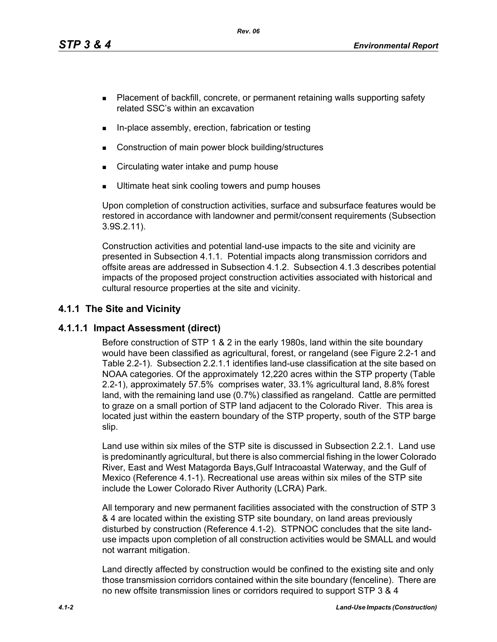*Rev. 06*

- **Placement of backfill, concrete, or permanent retaining walls supporting safety** related SSC's within an excavation
- In-place assembly, erection, fabrication or testing
- Construction of main power block building/structures
- **EXECT** Circulating water intake and pump house
- Ultimate heat sink cooling towers and pump houses

Upon completion of construction activities, surface and subsurface features would be restored in accordance with landowner and permit/consent requirements (Subsection 3.9S.2.11).

Construction activities and potential land-use impacts to the site and vicinity are presented in Subsection 4.1.1. Potential impacts along transmission corridors and offsite areas are addressed in Subsection 4.1.2. Subsection 4.1.3 describes potential impacts of the proposed project construction activities associated with historical and cultural resource properties at the site and vicinity.

# **4.1.1 The Site and Vicinity**

## **4.1.1.1 Impact Assessment (direct)**

Before construction of STP 1 & 2 in the early 1980s, land within the site boundary would have been classified as agricultural, forest, or rangeland (see Figure 2.2-1 and Table 2.2-1). Subsection 2.2.1.1 identifies land-use classification at the site based on NOAA categories. Of the approximately 12,220 acres within the STP property (Table 2.2-1), approximately 57.5% comprises water, 33.1% agricultural land, 8.8% forest land, with the remaining land use (0.7%) classified as rangeland. Cattle are permitted to graze on a small portion of STP land adjacent to the Colorado River. This area is located just within the eastern boundary of the STP property, south of the STP barge slip.

Land use within six miles of the STP site is discussed in Subsection 2.2.1. Land use is predominantly agricultural, but there is also commercial fishing in the lower Colorado River, East and West Matagorda Bays,Gulf Intracoastal Waterway, and the Gulf of Mexico (Reference 4.1-1). Recreational use areas within six miles of the STP site include the Lower Colorado River Authority (LCRA) Park.

All temporary and new permanent facilities associated with the construction of STP 3 & 4 are located within the existing STP site boundary, on land areas previously disturbed by construction (Reference 4.1-2). STPNOC concludes that the site landuse impacts upon completion of all construction activities would be SMALL and would not warrant mitigation.

Land directly affected by construction would be confined to the existing site and only those transmission corridors contained within the site boundary (fenceline). There are no new offsite transmission lines or corridors required to support STP 3 & 4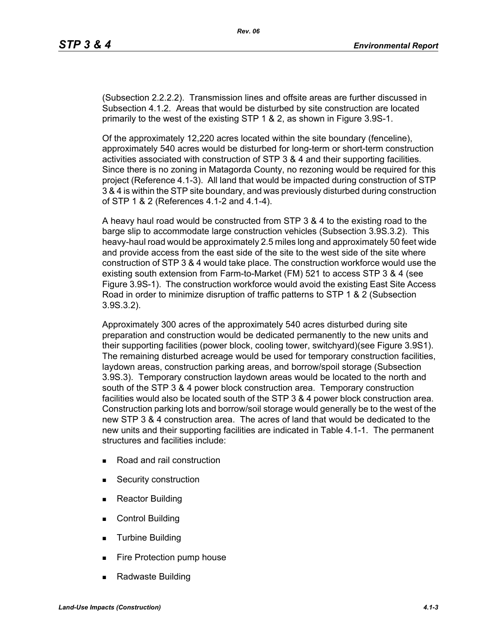(Subsection 2.2.2.2). Transmission lines and offsite areas are further discussed in Subsection 4.1.2. Areas that would be disturbed by site construction are located primarily to the west of the existing STP 1 & 2, as shown in Figure 3.9S-1.

Of the approximately 12,220 acres located within the site boundary (fenceline), approximately 540 acres would be disturbed for long-term or short-term construction activities associated with construction of STP 3 & 4 and their supporting facilities. Since there is no zoning in Matagorda County, no rezoning would be required for this project (Reference 4.1-3). All land that would be impacted during construction of STP 3 & 4 is within the STP site boundary, and was previously disturbed during construction of STP 1 & 2 (References 4.1-2 and 4.1-4).

A heavy haul road would be constructed from STP 3 & 4 to the existing road to the barge slip to accommodate large construction vehicles (Subsection 3.9S.3.2). This heavy-haul road would be approximately 2.5 miles long and approximately 50 feet wide and provide access from the east side of the site to the west side of the site where construction of STP 3 & 4 would take place. The construction workforce would use the existing south extension from Farm-to-Market (FM) 521 to access STP 3 & 4 (see Figure 3.9S-1). The construction workforce would avoid the existing East Site Access Road in order to minimize disruption of traffic patterns to STP 1 & 2 (Subsection 3.9S.3.2).

Approximately 300 acres of the approximately 540 acres disturbed during site preparation and construction would be dedicated permanently to the new units and their supporting facilities (power block, cooling tower, switchyard)(see Figure 3.9S1). The remaining disturbed acreage would be used for temporary construction facilities, laydown areas, construction parking areas, and borrow/spoil storage (Subsection 3.9S.3). Temporary construction laydown areas would be located to the north and south of the STP 3 & 4 power block construction area. Temporary construction facilities would also be located south of the STP 3 & 4 power block construction area. Construction parking lots and borrow/soil storage would generally be to the west of the new STP 3 & 4 construction area. The acres of land that would be dedicated to the new units and their supporting facilities are indicated in Table 4.1-1. The permanent structures and facilities include:

- Road and rail construction
- **Security construction**
- **Reactor Building**
- Control Building
- **Turbine Building**
- Fire Protection pump house
- Radwaste Building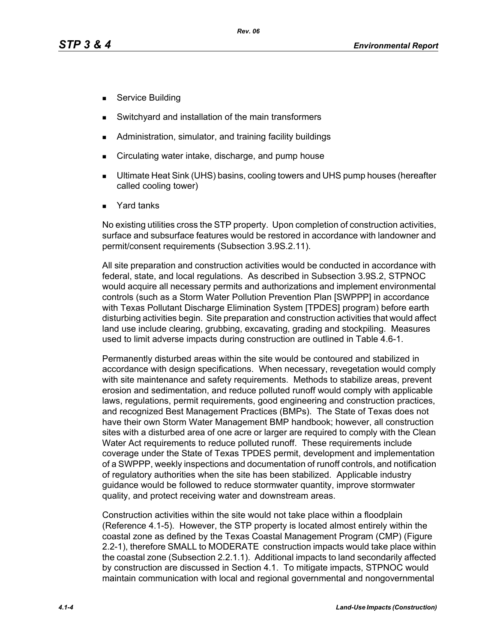- Service Building
- Switchyard and installation of the main transformers
- Administration, simulator, and training facility buildings
- Circulating water intake, discharge, and pump house
- Ultimate Heat Sink (UHS) basins, cooling towers and UHS pump houses (hereafter called cooling tower)
- Yard tanks

No existing utilities cross the STP property. Upon completion of construction activities, surface and subsurface features would be restored in accordance with landowner and permit/consent requirements (Subsection 3.9S.2.11).

All site preparation and construction activities would be conducted in accordance with federal, state, and local regulations. As described in Subsection 3.9S.2, STPNOC would acquire all necessary permits and authorizations and implement environmental controls (such as a Storm Water Pollution Prevention Plan [SWPPP] in accordance with Texas Pollutant Discharge Elimination System [TPDES] program) before earth disturbing activities begin. Site preparation and construction activities that would affect land use include clearing, grubbing, excavating, grading and stockpiling. Measures used to limit adverse impacts during construction are outlined in Table 4.6-1.

Permanently disturbed areas within the site would be contoured and stabilized in accordance with design specifications. When necessary, revegetation would comply with site maintenance and safety requirements. Methods to stabilize areas, prevent erosion and sedimentation, and reduce polluted runoff would comply with applicable laws, regulations, permit requirements, good engineering and construction practices, and recognized Best Management Practices (BMPs). The State of Texas does not have their own Storm Water Management BMP handbook; however, all construction sites with a disturbed area of one acre or larger are required to comply with the Clean Water Act requirements to reduce polluted runoff. These requirements include coverage under the State of Texas TPDES permit, development and implementation of a SWPPP, weekly inspections and documentation of runoff controls, and notification of regulatory authorities when the site has been stabilized. Applicable industry guidance would be followed to reduce stormwater quantity, improve stormwater quality, and protect receiving water and downstream areas.

Construction activities within the site would not take place within a floodplain (Reference 4.1-5). However, the STP property is located almost entirely within the coastal zone as defined by the Texas Coastal Management Program (CMP) (Figure 2.2-1), therefore SMALL to MODERATE construction impacts would take place within the coastal zone (Subsection 2.2.1.1). Additional impacts to land secondarily affected by construction are discussed in Section 4.1. To mitigate impacts, STPNOC would maintain communication with local and regional governmental and nongovernmental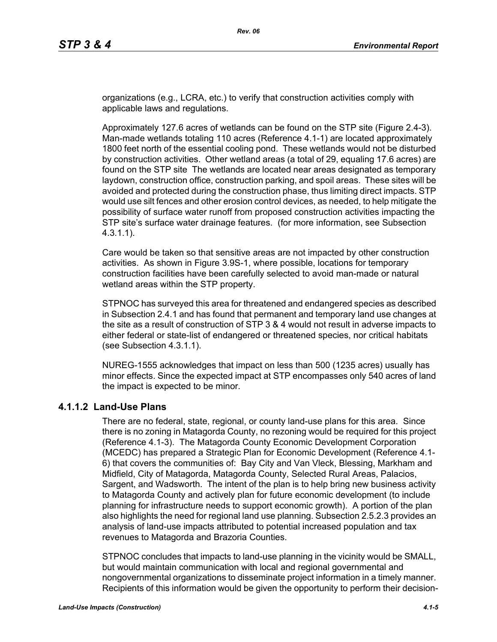organizations (e.g., LCRA, etc.) to verify that construction activities comply with applicable laws and regulations.

Approximately 127.6 acres of wetlands can be found on the STP site (Figure 2.4-3). Man-made wetlands totaling 110 acres (Reference 4.1-1) are located approximately 1800 feet north of the essential cooling pond. These wetlands would not be disturbed by construction activities. Other wetland areas (a total of 29, equaling 17.6 acres) are found on the STP site The wetlands are located near areas designated as temporary laydown, construction office, construction parking, and spoil areas. These sites will be avoided and protected during the construction phase, thus limiting direct impacts. STP would use silt fences and other erosion control devices, as needed, to help mitigate the possibility of surface water runoff from proposed construction activities impacting the STP site's surface water drainage features. (for more information, see Subsection 4.3.1.1).

Care would be taken so that sensitive areas are not impacted by other construction activities. As shown in Figure 3.9S-1, where possible, locations for temporary construction facilities have been carefully selected to avoid man-made or natural wetland areas within the STP property.

STPNOC has surveyed this area for threatened and endangered species as described in Subsection 2.4.1 and has found that permanent and temporary land use changes at the site as a result of construction of STP 3 & 4 would not result in adverse impacts to either federal or state-list of endangered or threatened species, nor critical habitats (see Subsection 4.3.1.1).

NUREG-1555 acknowledges that impact on less than 500 (1235 acres) usually has minor effects. Since the expected impact at STP encompasses only 540 acres of land the impact is expected to be minor.

## **4.1.1.2 Land-Use Plans**

There are no federal, state, regional, or county land-use plans for this area. Since there is no zoning in Matagorda County, no rezoning would be required for this project (Reference 4.1-3). The Matagorda County Economic Development Corporation (MCEDC) has prepared a Strategic Plan for Economic Development (Reference 4.1- 6) that covers the communities of: Bay City and Van Vleck, Blessing, Markham and Midfield, City of Matagorda, Matagorda County, Selected Rural Areas, Palacios, Sargent, and Wadsworth. The intent of the plan is to help bring new business activity to Matagorda County and actively plan for future economic development (to include planning for infrastructure needs to support economic growth). A portion of the plan also highlights the need for regional land use planning. Subsection 2.5.2.3 provides an analysis of land-use impacts attributed to potential increased population and tax revenues to Matagorda and Brazoria Counties.

STPNOC concludes that impacts to land-use planning in the vicinity would be SMALL, but would maintain communication with local and regional governmental and nongovernmental organizations to disseminate project information in a timely manner. Recipients of this information would be given the opportunity to perform their decision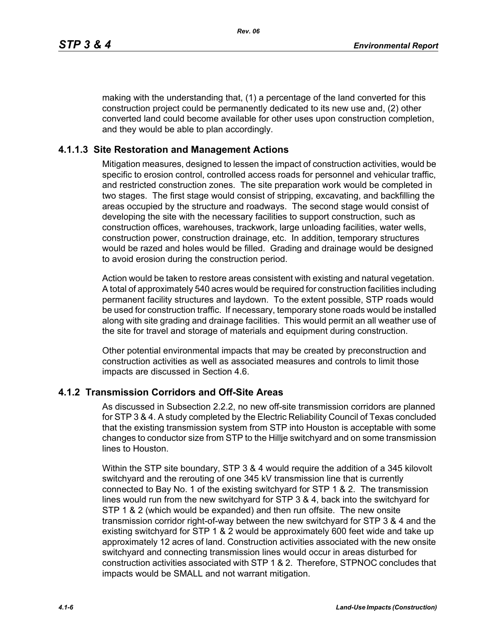making with the understanding that, (1) a percentage of the land converted for this construction project could be permanently dedicated to its new use and, (2) other converted land could become available for other uses upon construction completion, and they would be able to plan accordingly.

#### **4.1.1.3 Site Restoration and Management Actions**

Mitigation measures, designed to lessen the impact of construction activities, would be specific to erosion control, controlled access roads for personnel and vehicular traffic, and restricted construction zones. The site preparation work would be completed in two stages. The first stage would consist of stripping, excavating, and backfilling the areas occupied by the structure and roadways. The second stage would consist of developing the site with the necessary facilities to support construction, such as construction offices, warehouses, trackwork, large unloading facilities, water wells, construction power, construction drainage, etc. In addition, temporary structures would be razed and holes would be filled. Grading and drainage would be designed to avoid erosion during the construction period.

Action would be taken to restore areas consistent with existing and natural vegetation. A total of approximately 540 acres would be required for construction facilities including permanent facility structures and laydown. To the extent possible, STP roads would be used for construction traffic. If necessary, temporary stone roads would be installed along with site grading and drainage facilities. This would permit an all weather use of the site for travel and storage of materials and equipment during construction.

Other potential environmental impacts that may be created by preconstruction and construction activities as well as associated measures and controls to limit those impacts are discussed in Section 4.6.

#### **4.1.2 Transmission Corridors and Off-Site Areas**

As discussed in Subsection 2.2.2, no new off-site transmission corridors are planned for STP 3 & 4. A study completed by the Electric Reliability Council of Texas concluded that the existing transmission system from STP into Houston is acceptable with some changes to conductor size from STP to the Hillje switchyard and on some transmission lines to Houston.

Within the STP site boundary, STP 3 & 4 would require the addition of a 345 kilovolt switchyard and the rerouting of one 345 kV transmission line that is currently connected to Bay No. 1 of the existing switchyard for STP 1 & 2. The transmission lines would run from the new switchyard for STP 3 & 4, back into the switchyard for STP 1 & 2 (which would be expanded) and then run offsite. The new onsite transmission corridor right-of-way between the new switchyard for STP 3 & 4 and the existing switchyard for STP 1 & 2 would be approximately 600 feet wide and take up approximately 12 acres of land. Construction activities associated with the new onsite switchyard and connecting transmission lines would occur in areas disturbed for construction activities associated with STP 1 & 2. Therefore, STPNOC concludes that impacts would be SMALL and not warrant mitigation.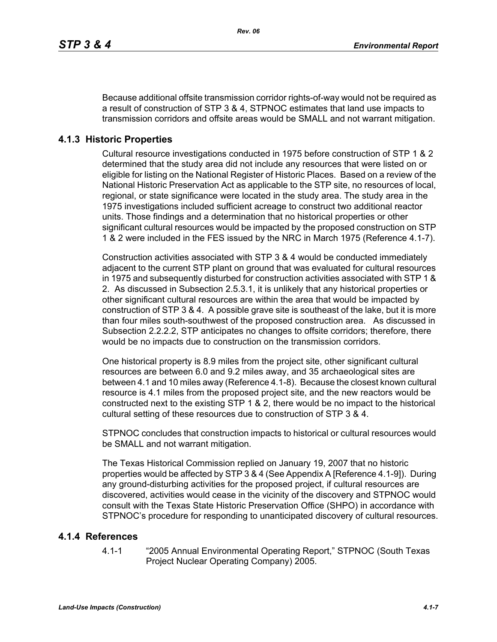Because additional offsite transmission corridor rights-of-way would not be required as a result of construction of STP 3 & 4, STPNOC estimates that land use impacts to transmission corridors and offsite areas would be SMALL and not warrant mitigation.

## **4.1.3 Historic Properties**

Cultural resource investigations conducted in 1975 before construction of STP 1 & 2 determined that the study area did not include any resources that were listed on or eligible for listing on the National Register of Historic Places. Based on a review of the National Historic Preservation Act as applicable to the STP site, no resources of local, regional, or state significance were located in the study area. The study area in the 1975 investigations included sufficient acreage to construct two additional reactor units. Those findings and a determination that no historical properties or other significant cultural resources would be impacted by the proposed construction on STP 1 & 2 were included in the FES issued by the NRC in March 1975 (Reference 4.1-7).

Construction activities associated with STP 3 & 4 would be conducted immediately adjacent to the current STP plant on ground that was evaluated for cultural resources in 1975 and subsequently disturbed for construction activities associated with STP 1 & 2. As discussed in Subsection 2.5.3.1, it is unlikely that any historical properties or other significant cultural resources are within the area that would be impacted by construction of STP 3 & 4. A possible grave site is southeast of the lake, but it is more than four miles south-southwest of the proposed construction area. As discussed in Subsection 2.2.2.2, STP anticipates no changes to offsite corridors; therefore, there would be no impacts due to construction on the transmission corridors.

One historical property is 8.9 miles from the project site, other significant cultural resources are between 6.0 and 9.2 miles away, and 35 archaeological sites are between 4.1 and 10 miles away (Reference 4.1-8). Because the closest known cultural resource is 4.1 miles from the proposed project site, and the new reactors would be constructed next to the existing STP 1 & 2, there would be no impact to the historical cultural setting of these resources due to construction of STP 3 & 4.

STPNOC concludes that construction impacts to historical or cultural resources would be SMALL and not warrant mitigation.

The Texas Historical Commission replied on January 19, 2007 that no historic properties would be affected by STP 3 & 4 (See Appendix A [Reference 4.1-9]). During any ground-disturbing activities for the proposed project, if cultural resources are discovered, activities would cease in the vicinity of the discovery and STPNOC would consult with the Texas State Historic Preservation Office (SHPO) in accordance with STPNOC's procedure for responding to unanticipated discovery of cultural resources.

## **4.1.4 References**

4.1-1 "2005 Annual Environmental Operating Report," STPNOC (South Texas Project Nuclear Operating Company) 2005.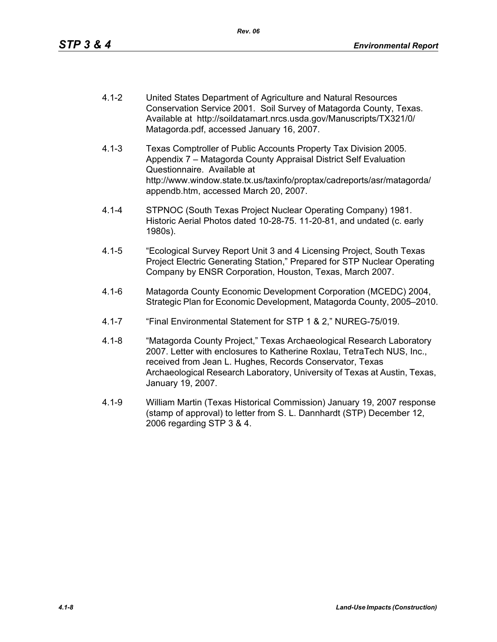- 4.1-2 United States Department of Agriculture and Natural Resources Conservation Service 2001. Soil Survey of Matagorda County, Texas. Available at http://soildatamart.nrcs.usda.gov/Manuscripts/TX321/0/ Matagorda.pdf, accessed January 16, 2007.
- 4.1-3 Texas Comptroller of Public Accounts Property Tax Division 2005. Appendix 7 – Matagorda County Appraisal District Self Evaluation Questionnaire. Available at http://www.window.state.tx.us/taxinfo/proptax/cadreports/asr/matagorda/ appendb.htm, accessed March 20, 2007.
- 4.1-4 STPNOC (South Texas Project Nuclear Operating Company) 1981. Historic Aerial Photos dated 10-28-75. 11-20-81, and undated (c. early 1980s).
- 4.1-5 "Ecological Survey Report Unit 3 and 4 Licensing Project, South Texas Project Electric Generating Station," Prepared for STP Nuclear Operating Company by ENSR Corporation, Houston, Texas, March 2007.
- 4.1-6 Matagorda County Economic Development Corporation (MCEDC) 2004, Strategic Plan for Economic Development, Matagorda County, 2005–2010.
- 4.1-7 "Final Environmental Statement for STP 1 & 2," NUREG-75/019.
- 4.1-8 "Matagorda County Project," Texas Archaeological Research Laboratory 2007. Letter with enclosures to Katherine Roxlau, TetraTech NUS, Inc., received from Jean L. Hughes, Records Conservator, Texas Archaeological Research Laboratory, University of Texas at Austin, Texas, January 19, 2007.
- 4.1-9 William Martin (Texas Historical Commission) January 19, 2007 response (stamp of approval) to letter from S. L. Dannhardt (STP) December 12, 2006 regarding STP 3 & 4.